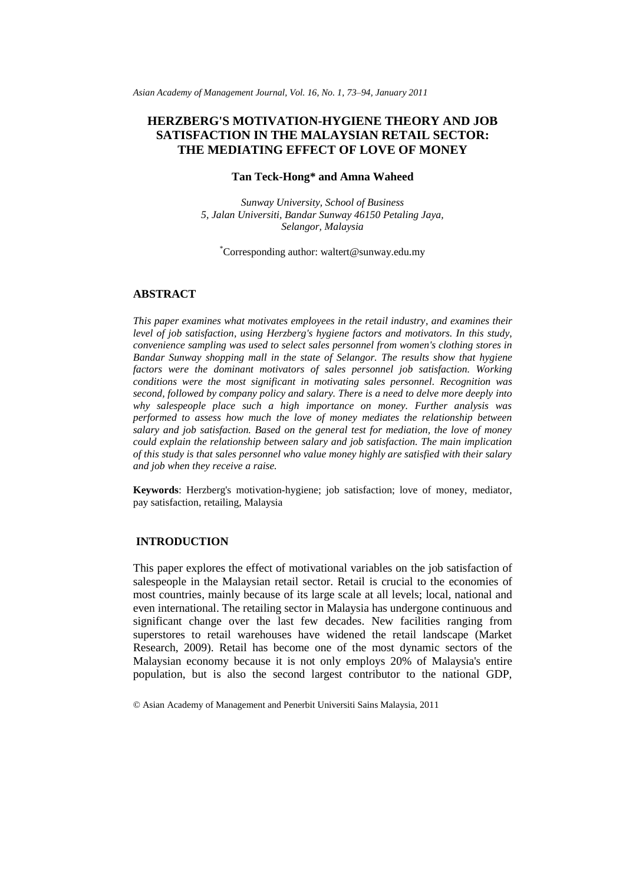*Asian Academy of Management Journal, Vol. 16, No. 1, 73–94, January 2011*

# **HERZBERG'S MOTIVATION-HYGIENE THEORY AND JOB SATISFACTION IN THE MALAYSIAN RETAIL SECTOR: THE MEDIATING EFFECT OF LOVE OF MONEY**

## **Tan Teck-Hong\* and Amna Waheed**

*Sunway University, School of Business 5, Jalan Universiti, Bandar Sunway 46150 Petaling Jaya, Selangor, Malaysia*

\*Corresponding author: waltert@sunway.edu.my

### **ABSTRACT**

*This paper examines what motivates employees in the retail industry, and examines their level of job satisfaction, using Herzberg's hygiene factors and motivators. In this study, convenience sampling was used to select sales personnel from women's clothing stores in Bandar Sunway shopping mall in the state of Selangor. The results show that hygiene factors were the dominant motivators of sales personnel job satisfaction. Working conditions were the most significant in motivating sales personnel. Recognition was second, followed by company policy and salary. There is a need to delve more deeply into why salespeople place such a high importance on money. Further analysis was performed to assess how much the love of money mediates the relationship between salary and job satisfaction. Based on the general test for mediation, the love of money could explain the relationship between salary and job satisfaction. The main implication of this study is that sales personnel who value money highly are satisfied with their salary and job when they receive a raise.* 

**Keywords**: Herzberg's motivation-hygiene; job satisfaction; love of money, mediator, pay satisfaction, retailing, Malaysia

## **INTRODUCTION**

This paper explores the effect of motivational variables on the job satisfaction of salespeople in the Malaysian retail sector. Retail is crucial to the economies of most countries, mainly because of its large scale at all levels; local, national and even international. The retailing sector in Malaysia has undergone continuous and significant change over the last few decades. New facilities ranging from superstores to retail warehouses have widened the retail landscape (Market Research, 2009). Retail has become one of the most dynamic sectors of the Malaysian economy because it is not only employs 20% of Malaysia's entire population, but is also the second largest contributor to the national GDP,

© Asian Academy of Management and Penerbit Universiti Sains Malaysia, 2011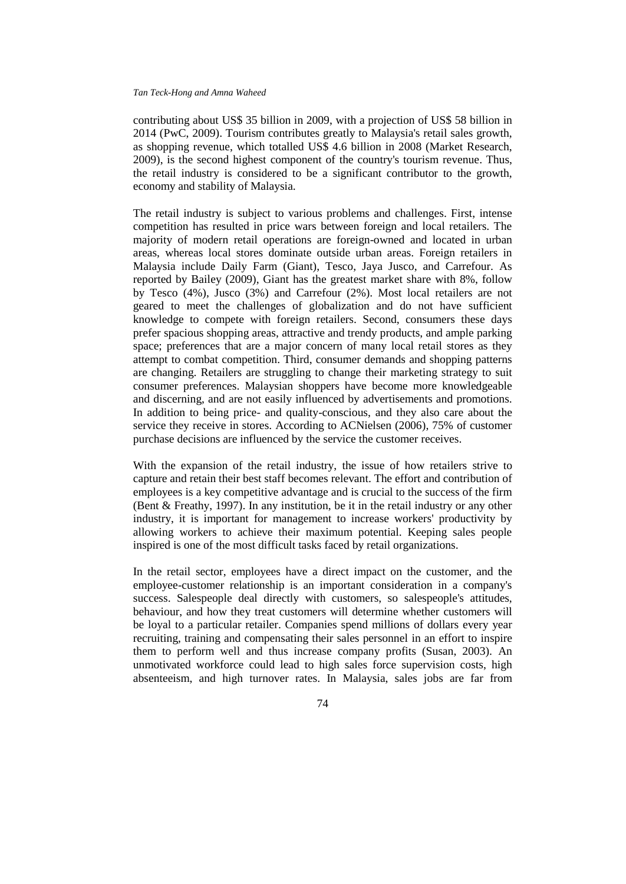contributing about US\$ 35 billion in 2009, with a projection of US\$ 58 billion in 2014 (PwC, 2009). Tourism contributes greatly to Malaysia's retail sales growth, as shopping revenue, which totalled US\$ 4.6 billion in 2008 (Market Research, 2009), is the second highest component of the country's tourism revenue. Thus, the retail industry is considered to be a significant contributor to the growth, economy and stability of Malaysia.

The retail industry is subject to various problems and challenges. First, intense competition has resulted in price wars between foreign and local retailers. The majority of modern retail operations are foreign-owned and located in urban areas, whereas local stores dominate outside urban areas. Foreign retailers in Malaysia include Daily Farm (Giant), Tesco, Jaya Jusco, and Carrefour. As reported by Bailey (2009), Giant has the greatest market share with 8%, follow by Tesco (4%), Jusco (3%) and Carrefour (2%). Most local retailers are not geared to meet the challenges of globalization and do not have sufficient knowledge to compete with foreign retailers. Second, consumers these days prefer spacious shopping areas, attractive and trendy products, and ample parking space; preferences that are a major concern of many local retail stores as they attempt to combat competition. Third, consumer demands and shopping patterns are changing. Retailers are struggling to change their marketing strategy to suit consumer preferences. Malaysian shoppers have become more knowledgeable and discerning, and are not easily influenced by advertisements and promotions. In addition to being price- and quality-conscious, and they also care about the service they receive in stores. According to ACNielsen (2006), 75% of customer purchase decisions are influenced by the service the customer receives.

With the expansion of the retail industry, the issue of how retailers strive to capture and retain their best staff becomes relevant. The effort and contribution of employees is a key competitive advantage and is crucial to the success of the firm (Bent & Freathy, 1997). In any institution, be it in the retail industry or any other industry, it is important for management to increase workers' productivity by allowing workers to achieve their maximum potential. Keeping sales people inspired is one of the most difficult tasks faced by retail organizations.

In the retail sector, employees have a direct impact on the customer, and the employee-customer relationship is an important consideration in a company's success. Salespeople deal directly with customers, so salespeople's attitudes, behaviour, and how they treat customers will determine whether customers will be loyal to a particular retailer. Companies spend millions of dollars every year recruiting, training and compensating their sales personnel in an effort to inspire them to perform well and thus increase company profits (Susan, 2003). An unmotivated workforce could lead to high sales force supervision costs, high absenteeism, and high turnover rates. In Malaysia, sales jobs are far from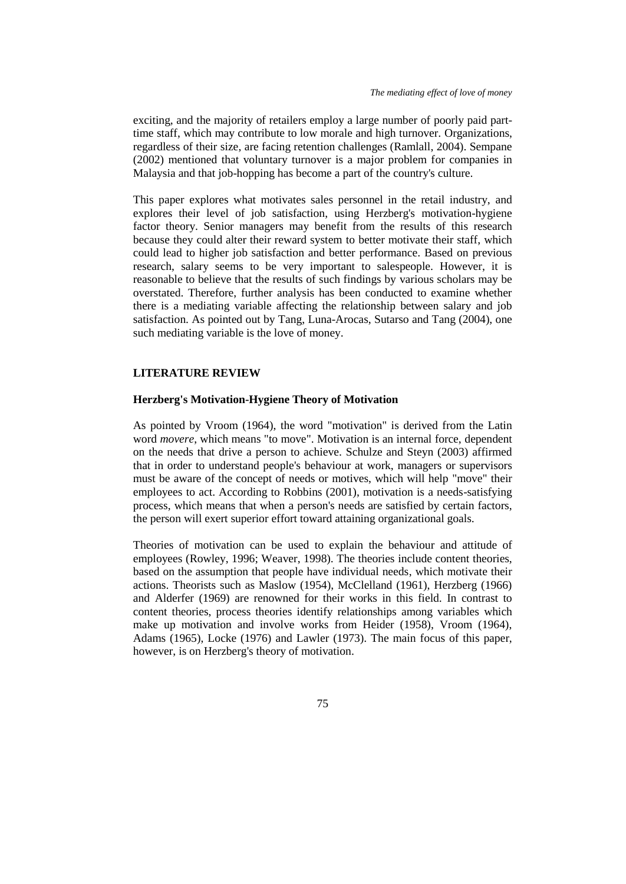exciting, and the majority of retailers employ a large number of poorly paid parttime staff, which may contribute to low morale and high turnover. Organizations, regardless of their size, are facing retention challenges (Ramlall, 2004). Sempane (2002) mentioned that voluntary turnover is a major problem for companies in Malaysia and that job-hopping has become a part of the country's culture.

This paper explores what motivates sales personnel in the retail industry, and explores their level of job satisfaction, using Herzberg's motivation-hygiene factor theory. Senior managers may benefit from the results of this research because they could alter their reward system to better motivate their staff, which could lead to higher job satisfaction and better performance. Based on previous research, salary seems to be very important to salespeople. However, it is reasonable to believe that the results of such findings by various scholars may be overstated. Therefore, further analysis has been conducted to examine whether there is a mediating variable affecting the relationship between salary and job satisfaction. As pointed out by Tang, Luna-Arocas, Sutarso and Tang (2004), one such mediating variable is the love of money.

## **LITERATURE REVIEW**

#### **Herzberg's Motivation-Hygiene Theory of Motivation**

As pointed by Vroom (1964), the word "motivation" is derived from the Latin word *movere*, which means "to move". Motivation is an internal force, dependent on the needs that drive a person to achieve. Schulze and Steyn (2003) affirmed that in order to understand people's behaviour at work, managers or supervisors must be aware of the concept of needs or motives, which will help "move" their employees to act. According to Robbins (2001), motivation is a needs-satisfying process, which means that when a person's needs are satisfied by certain factors, the person will exert superior effort toward attaining organizational goals.

Theories of motivation can be used to explain the behaviour and attitude of employees (Rowley, 1996; Weaver, 1998). The theories include content theories, based on the assumption that people have individual needs, which motivate their actions. Theorists such as Maslow (1954), McClelland (1961), Herzberg (1966) and Alderfer (1969) are renowned for their works in this field. In contrast to content theories, process theories identify relationships among variables which make up motivation and involve works from Heider (1958), Vroom (1964), Adams (1965), Locke (1976) and Lawler (1973). The main focus of this paper, however, is on Herzberg's theory of motivation.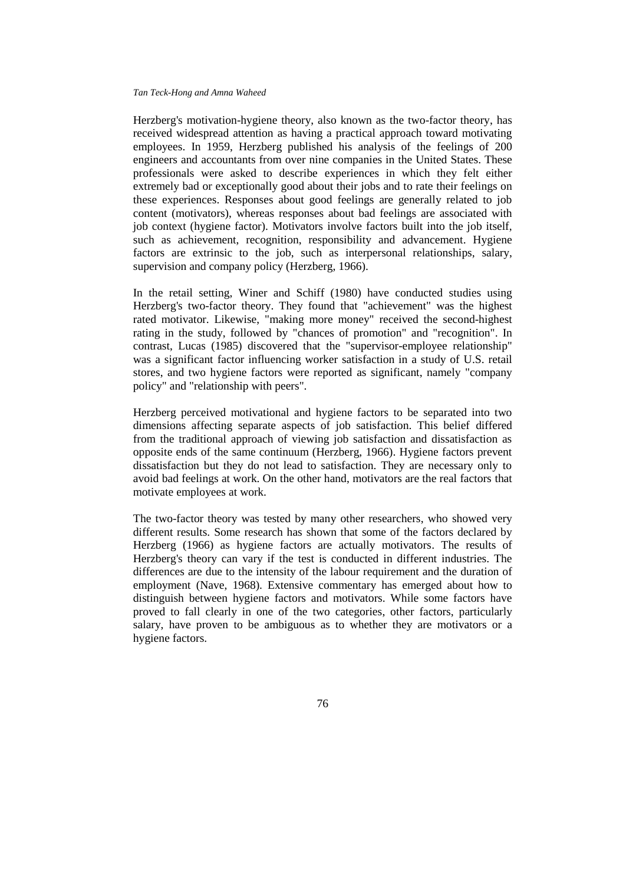Herzberg's motivation-hygiene theory, also known as the two-factor theory, has received widespread attention as having a practical approach toward motivating employees. In 1959, Herzberg published his analysis of the feelings of 200 engineers and accountants from over nine companies in the United States. These professionals were asked to describe experiences in which they felt either extremely bad or exceptionally good about their jobs and to rate their feelings on these experiences. Responses about good feelings are generally related to job content (motivators), whereas responses about bad feelings are associated with job context (hygiene factor). Motivators involve factors built into the job itself, such as achievement, recognition, responsibility and advancement. Hygiene factors are extrinsic to the job, such as interpersonal relationships, salary, supervision and company policy (Herzberg, 1966).

In the retail setting, Winer and Schiff (1980) have conducted studies using Herzberg's two-factor theory. They found that "achievement" was the highest rated motivator. Likewise, "making more money" received the second-highest rating in the study, followed by "chances of promotion" and "recognition". In contrast, Lucas (1985) discovered that the "supervisor-employee relationship" was a significant factor influencing worker satisfaction in a study of U.S. retail stores, and two hygiene factors were reported as significant, namely "company policy" and "relationship with peers".

Herzberg perceived motivational and hygiene factors to be separated into two dimensions affecting separate aspects of job satisfaction. This belief differed from the traditional approach of viewing job satisfaction and dissatisfaction as opposite ends of the same continuum (Herzberg, 1966). Hygiene factors prevent dissatisfaction but they do not lead to satisfaction. They are necessary only to avoid bad feelings at work. On the other hand, motivators are the real factors that motivate employees at work.

The two-factor theory was tested by many other researchers, who showed very different results. Some research has shown that some of the factors declared by Herzberg (1966) as hygiene factors are actually motivators. The results of Herzberg's theory can vary if the test is conducted in different industries. The differences are due to the intensity of the labour requirement and the duration of employment (Nave, 1968). Extensive commentary has emerged about how to distinguish between hygiene factors and motivators. While some factors have proved to fall clearly in one of the two categories, other factors, particularly salary, have proven to be ambiguous as to whether they are motivators or a hygiene factors.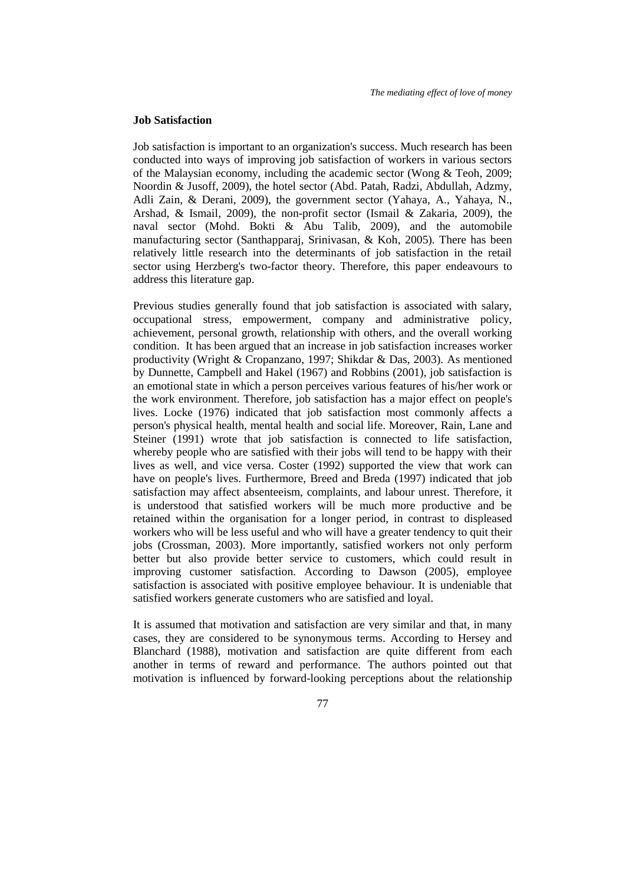#### **Job Satisfaction**

Job satisfaction is important to an organization's success. Much research has been conducted into ways of improving job satisfaction of workers in various sectors of the Malaysian economy, including the academic sector (Wong & Teoh, 2009; Noordin & Jusoff, 2009), the hotel sector (Abd. Patah, Radzi, Abdullah, Adzmy, Adli Zain, & Derani, 2009), the government sector (Yahaya, A., Yahaya, N., Arshad, & Ismail, 2009), the non-profit sector (Ismail & Zakaria, 2009), the naval sector (Mohd. Bokti & Abu Talib, 2009), and the automobile manufacturing sector (Santhapparaj, Srinivasan, & Koh, 2005). There has been relatively little research into the determinants of job satisfaction in the retail sector using Herzberg's two-factor theory. Therefore, this paper endeavours to address this literature gap.

Previous studies generally found that job satisfaction is associated with salary, occupational stress, empowerment, company and administrative policy, achievement, personal growth, relationship with others, and the overall working condition. It has been argued that an increase in job satisfaction increases worker productivity (Wright & Cropanzano, 1997; Shikdar & Das, 2003). As mentioned by Dunnette, Campbell and Hakel (1967) and Robbins (2001), job satisfaction is an emotional state in which a person perceives various features of his/her work or the work environment. Therefore, job satisfaction has a major effect on people's lives. Locke (1976) indicated that job satisfaction most commonly affects a person's physical health, mental health and social life. Moreover, Rain, Lane and Steiner (1991) wrote that job satisfaction is connected to life satisfaction, whereby people who are satisfied with their jobs will tend to be happy with their lives as well, and vice versa. Coster (1992) supported the view that work can have on people's lives. Furthermore, Breed and Breda (1997) indicated that job satisfaction may affect absenteeism, complaints, and labour unrest. Therefore, it is understood that satisfied workers will be much more productive and be retained within the organisation for a longer period, in contrast to displeased workers who will be less useful and who will have a greater tendency to quit their jobs (Crossman, 2003). More importantly, satisfied workers not only perform better but also provide better service to customers, which could result in improving customer satisfaction. According to Dawson (2005), employee satisfaction is associated with positive employee behaviour. It is undeniable that satisfied workers generate customers who are satisfied and loyal.

It is assumed that motivation and satisfaction are very similar and that, in many cases, they are considered to be synonymous terms. According to Hersey and Blanchard (1988), motivation and satisfaction are quite different from each another in terms of reward and performance. The authors pointed out that motivation is influenced by forward-looking perceptions about the relationship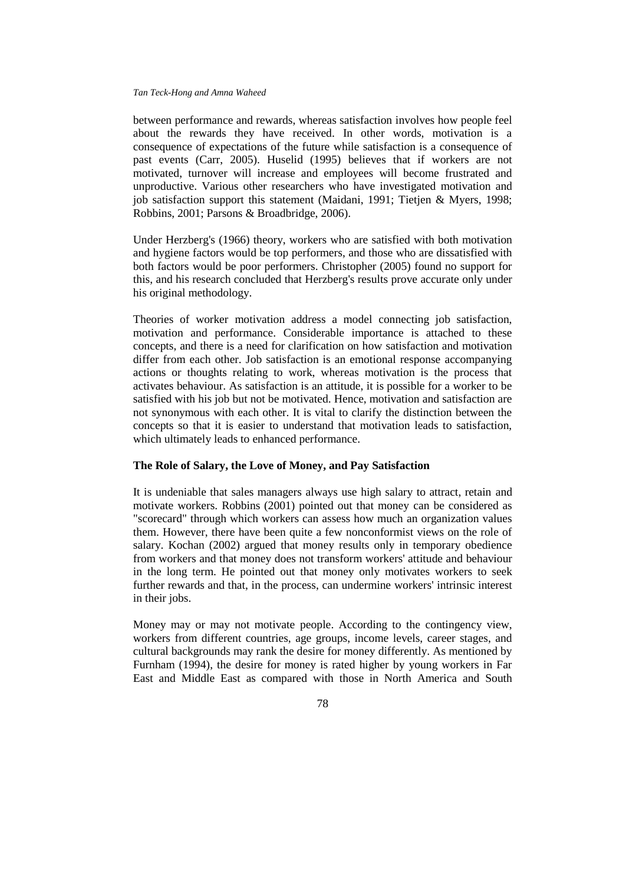between performance and rewards, whereas satisfaction involves how people feel about the rewards they have received. In other words, motivation is a consequence of expectations of the future while satisfaction is a consequence of past events (Carr, 2005). Huselid (1995) believes that if workers are not motivated, turnover will increase and employees will become frustrated and unproductive. Various other researchers who have investigated motivation and job satisfaction support this statement (Maidani, 1991; Tietjen & Myers, 1998; Robbins, 2001; Parsons & Broadbridge, 2006).

Under Herzberg's (1966) theory, workers who are satisfied with both motivation and hygiene factors would be top performers, and those who are dissatisfied with both factors would be poor performers. Christopher (2005) found no support for this, and his research concluded that Herzberg's results prove accurate only under his original methodology.

Theories of worker motivation address a model connecting job satisfaction, motivation and performance. Considerable importance is attached to these concepts, and there is a need for clarification on how satisfaction and motivation differ from each other. Job satisfaction is an emotional response accompanying actions or thoughts relating to work, whereas motivation is the process that activates behaviour. As satisfaction is an attitude, it is possible for a worker to be satisfied with his job but not be motivated. Hence, motivation and satisfaction are not synonymous with each other. It is vital to clarify the distinction between the concepts so that it is easier to understand that motivation leads to satisfaction, which ultimately leads to enhanced performance.

## **The Role of Salary, the Love of Money, and Pay Satisfaction**

It is undeniable that sales managers always use high salary to attract, retain and motivate workers. Robbins (2001) pointed out that money can be considered as "scorecard" through which workers can assess how much an organization values them. However, there have been quite a few nonconformist views on the role of salary. Kochan (2002) argued that money results only in temporary obedience from workers and that money does not transform workers' attitude and behaviour in the long term. He pointed out that money only motivates workers to seek further rewards and that, in the process, can undermine workers' intrinsic interest in their jobs.

Money may or may not motivate people. According to the contingency view, workers from different countries, age groups, income levels, career stages, and cultural backgrounds may rank the desire for money differently. As mentioned by Furnham (1994), the desire for money is rated higher by young workers in Far East and Middle East as compared with those in North America and South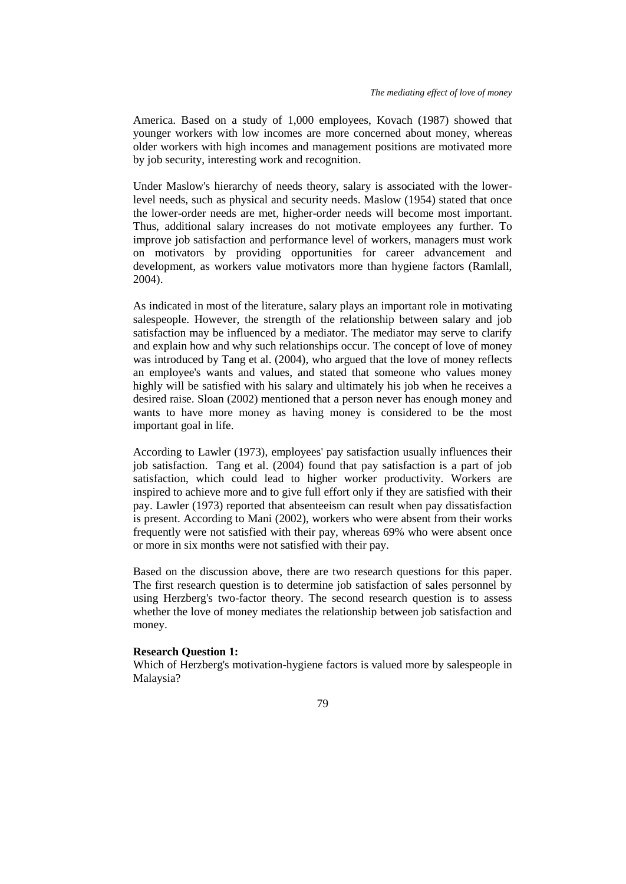America. Based on a study of 1,000 employees, Kovach (1987) showed that younger workers with low incomes are more concerned about money, whereas older workers with high incomes and management positions are motivated more by job security, interesting work and recognition.

Under Maslow's hierarchy of needs theory, salary is associated with the lowerlevel needs, such as physical and security needs. Maslow (1954) stated that once the lower-order needs are met, higher-order needs will become most important. Thus, additional salary increases do not motivate employees any further. To improve job satisfaction and performance level of workers, managers must work on motivators by providing opportunities for career advancement and development, as workers value motivators more than hygiene factors (Ramlall, 2004).

As indicated in most of the literature, salary plays an important role in motivating salespeople. However, the strength of the relationship between salary and job satisfaction may be influenced by a mediator. The mediator may serve to clarify and explain how and why such relationships occur. The concept of love of money was introduced by Tang et al. (2004), who argued that the love of money reflects an employee's wants and values, and stated that someone who values money highly will be satisfied with his salary and ultimately his job when he receives a desired raise. Sloan (2002) mentioned that a person never has enough money and wants to have more money as having money is considered to be the most important goal in life.

According to Lawler (1973), employees' pay satisfaction usually influences their job satisfaction. Tang et al. (2004) found that pay satisfaction is a part of job satisfaction, which could lead to higher worker productivity. Workers are inspired to achieve more and to give full effort only if they are satisfied with their pay. Lawler (1973) reported that absenteeism can result when pay dissatisfaction is present. According to Mani (2002), workers who were absent from their works frequently were not satisfied with their pay, whereas 69% who were absent once or more in six months were not satisfied with their pay.

Based on the discussion above, there are two research questions for this paper. The first research question is to determine job satisfaction of sales personnel by using Herzberg's two-factor theory. The second research question is to assess whether the love of money mediates the relationship between job satisfaction and money.

## **Research Question 1:**

Which of Herzberg's motivation-hygiene factors is valued more by salespeople in Malaysia?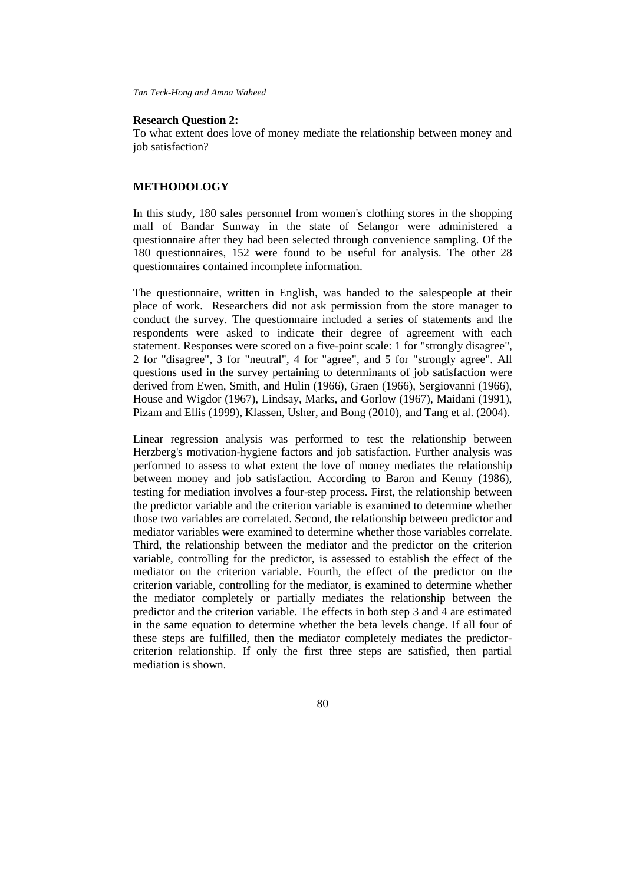#### **Research Question 2:**

To what extent does love of money mediate the relationship between money and job satisfaction?

## **METHODOLOGY**

In this study, 180 sales personnel from women's clothing stores in the shopping mall of Bandar Sunway in the state of Selangor were administered a questionnaire after they had been selected through convenience sampling. Of the 180 questionnaires, 152 were found to be useful for analysis. The other 28 questionnaires contained incomplete information.

The questionnaire, written in English, was handed to the salespeople at their place of work. Researchers did not ask permission from the store manager to conduct the survey. The questionnaire included a series of statements and the respondents were asked to indicate their degree of agreement with each statement. Responses were scored on a five-point scale: 1 for "strongly disagree", 2 for "disagree", 3 for "neutral", 4 for "agree", and 5 for "strongly agree". All questions used in the survey pertaining to determinants of job satisfaction were derived from Ewen, Smith, and Hulin (1966), Graen (1966), Sergiovanni (1966), House and Wigdor (1967), Lindsay, Marks, and Gorlow (1967), Maidani (1991), Pizam and Ellis (1999), Klassen, Usher, and Bong (2010), and Tang et al. (2004).

Linear regression analysis was performed to test the relationship between Herzberg's motivation-hygiene factors and job satisfaction. Further analysis was performed to assess to what extent the love of money mediates the relationship between money and job satisfaction. According to Baron and Kenny (1986), testing for mediation involves a four-step process. First, the relationship between the predictor variable and the criterion variable is examined to determine whether those two variables are correlated. Second, the relationship between predictor and mediator variables were examined to determine whether those variables correlate. Third, the relationship between the mediator and the predictor on the criterion variable, controlling for the predictor, is assessed to establish the effect of the mediator on the criterion variable. Fourth, the effect of the predictor on the criterion variable, controlling for the mediator, is examined to determine whether the mediator completely or partially mediates the relationship between the predictor and the criterion variable. The effects in both step 3 and 4 are estimated in the same equation to determine whether the beta levels change. If all four of these steps are fulfilled, then the mediator completely mediates the predictorcriterion relationship. If only the first three steps are satisfied, then partial mediation is shown.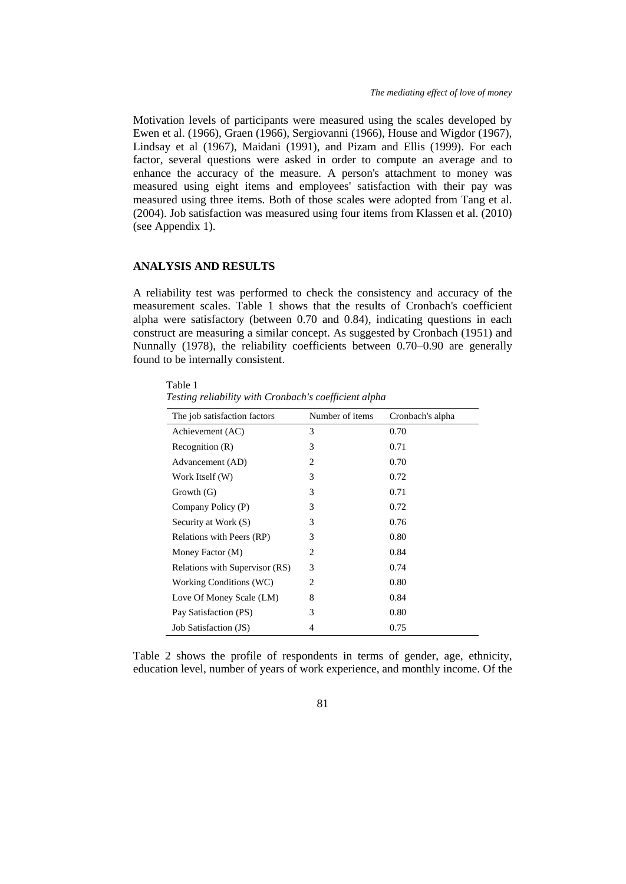Motivation levels of participants were measured using the scales developed by Ewen et al. (1966), Graen (1966), Sergiovanni (1966), House and Wigdor (1967), Lindsay et al (1967), Maidani (1991), and Pizam and Ellis (1999). For each factor, several questions were asked in order to compute an average and to enhance the accuracy of the measure. A person's attachment to money was measured using eight items and employees' satisfaction with their pay was measured using three items. Both of those scales were adopted from Tang et al. (2004). Job satisfaction was measured using four items from Klassen et al. (2010) (see Appendix 1).

### **ANALYSIS AND RESULTS**

A reliability test was performed to check the consistency and accuracy of the measurement scales. Table 1 shows that the results of Cronbach's coefficient alpha were satisfactory (between 0.70 and 0.84), indicating questions in each construct are measuring a similar concept. As suggested by Cronbach (1951) and Nunnally (1978), the reliability coefficients between 0.70–0.90 are generally found to be internally consistent.

Table 1 *Testing reliability with Cronbach's coefficient alpha*

| The job satisfaction factors   | Number of items | Cronbach's alpha |
|--------------------------------|-----------------|------------------|
| Achievement (AC)               | 3               | 0.70             |
| Recognition(R)                 | 3               | 0.71             |
| Advancement (AD)               | 2               | 0.70             |
| Work Itself (W)                | 3               | 0.72             |
| Growth(G)                      | 3               | 0.71             |
| Company Policy (P)             | 3               | 0.72             |
| Security at Work (S)           | 3               | 0.76             |
| Relations with Peers (RP)      | 3               | 0.80             |
| Money Factor (M)               | 2               | 0.84             |
| Relations with Supervisor (RS) | 3               | 0.74             |
| Working Conditions (WC)        | 2               | 0.80             |
| Love Of Money Scale (LM)       | 8               | 0.84             |
| Pay Satisfaction (PS)          | 3               | 0.80             |
| Job Satisfaction (JS)          | 4               | 0.75             |

Table 2 shows the profile of respondents in terms of gender, age, ethnicity, education level, number of years of work experience, and monthly income. Of the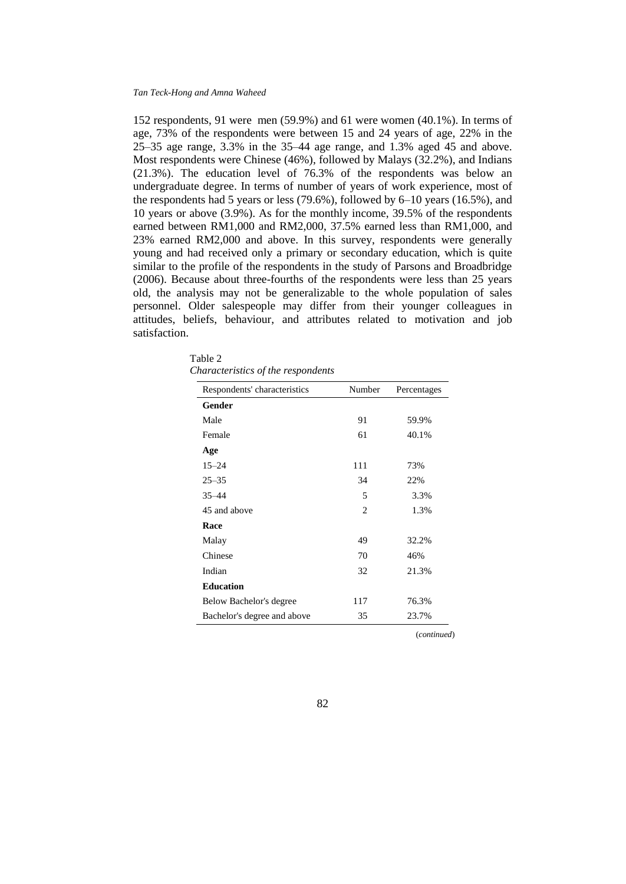152 respondents, 91 were men (59.9%) and 61 were women (40.1%). In terms of age, 73% of the respondents were between 15 and 24 years of age, 22% in the 25–35 age range, 3.3% in the 35–44 age range, and 1.3% aged 45 and above. Most respondents were Chinese (46%), followed by Malays (32.2%), and Indians (21.3%). The education level of 76.3% of the respondents was below an undergraduate degree. In terms of number of years of work experience, most of the respondents had 5 years or less (79.6%), followed by 6–10 years (16.5%), and 10 years or above (3.9%). As for the monthly income, 39.5% of the respondents earned between RM1,000 and RM2,000, 37.5% earned less than RM1,000, and 23% earned RM2,000 and above. In this survey, respondents were generally young and had received only a primary or secondary education, which is quite similar to the profile of the respondents in the study of Parsons and Broadbridge (2006). Because about three-fourths of the respondents were less than 25 years old, the analysis may not be generalizable to the whole population of sales personnel. Older salespeople may differ from their younger colleagues in attitudes, beliefs, behaviour, and attributes related to motivation and job satisfaction.

Table 2 *Characteristics of the respondents*

| Respondents' characteristics | Number         | Percentages |
|------------------------------|----------------|-------------|
| Gender                       |                |             |
| Male                         | 91             | 59.9%       |
| Female                       | 61             | 40.1%       |
| Age                          |                |             |
| $15 - 24$                    | 111            | 73%         |
| $25 - 35$                    | 34             | 22%         |
| $35 - 44$                    | 5              | 3.3%        |
| 45 and above                 | $\overline{c}$ | 1.3%        |
| Race                         |                |             |
| Malay                        | 49             | 32.2%       |
| Chinese                      | 70             | 46%         |
| Indian                       | 32             | 21.3%       |
| <b>Education</b>             |                |             |
| Below Bachelor's degree      | 117            | 76.3%       |
| Bachelor's degree and above  | 35             | 23.7%       |

(*continued*)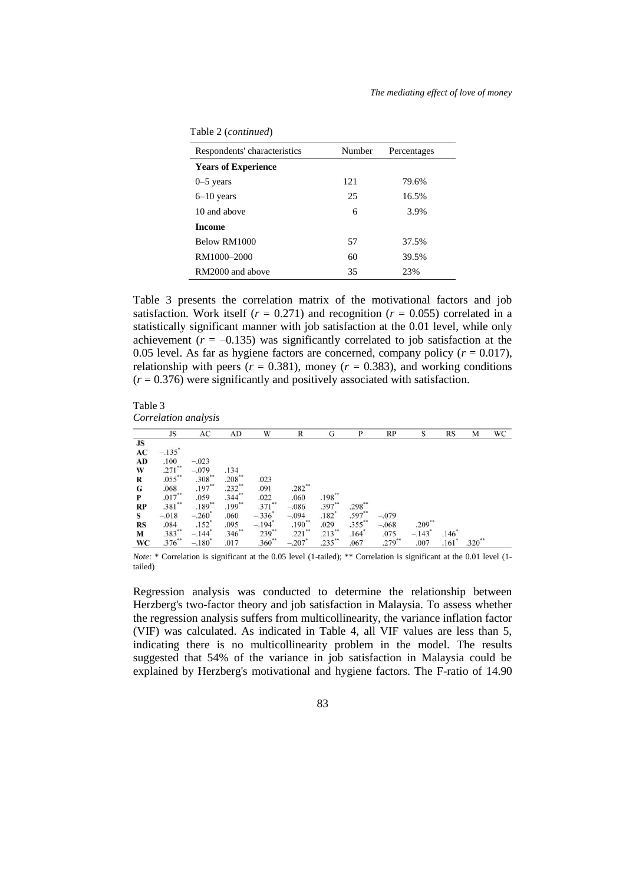| Table 2 (continued) |  |
|---------------------|--|
|---------------------|--|

| Respondents' characteristics | Number | Percentages |
|------------------------------|--------|-------------|
| <b>Years of Experience</b>   |        |             |
| $0-5$ years                  | 121    | 79.6%       |
| $6-10$ years                 | 25     | 16.5%       |
| 10 and above                 | 6      | 3.9%        |
| <b>Income</b>                |        |             |
| Below RM1000                 | 57     | 37.5%       |
| RM1000-2000                  | 60     | 39.5%       |
| RM2000 and above             | 35     | 23%         |

Table 3 presents the correlation matrix of the motivational factors and job satisfaction. Work itself ( $r = 0.271$ ) and recognition ( $r = 0.055$ ) correlated in a statistically significant manner with job satisfaction at the 0.01 level, while only achievement  $(r = -0.135)$  was significantly correlated to job satisfaction at the 0.05 level. As far as hygiene factors are concerned, company policy  $(r = 0.017)$ , relationship with peers  $(r = 0.381)$ , money  $(r = 0.383)$ , and working conditions  $(r = 0.376)$  were significantly and positively associated with satisfaction.

Table 3 *Correlation analysis*

|               | JS                   | AC                   | AD        | W                        | R                    | G           | P         | RP          | S        | <b>RS</b> | M        | WC |
|---------------|----------------------|----------------------|-----------|--------------------------|----------------------|-------------|-----------|-------------|----------|-----------|----------|----|
| JS            |                      |                      |           |                          |                      |             |           |             |          |           |          |    |
| AC            | $-.135$ <sup>*</sup> |                      |           |                          |                      |             |           |             |          |           |          |    |
| AD            | .100                 | $-.023$              |           |                          |                      |             |           |             |          |           |          |    |
| W             | $.271$ **            | $-.079$              | .134      |                          |                      |             |           |             |          |           |          |    |
| R             | $.055***$            | $.308**$             | $.208**$  | .023                     |                      |             |           |             |          |           |          |    |
| G             | .068                 | $.197***$            | $.232**$  | .091                     | $.282***$            |             |           |             |          |           |          |    |
| P             | $.017***$            | .059                 | $.344***$ | .022                     | .060                 | $.198***$   |           |             |          |           |          |    |
| $\mathbf{RP}$ | $.381***$            | $.189***$            | $.199***$ | $.371***$                | $-.086$              | $.397**$    | $.298**$  |             |          |           |          |    |
| S             | $-.018$              | $-.260"$             | .060      | $-336^{\degree}$<br>-194 | $-.094$              | .182"       | $.597**$  | $-.079$     |          |           |          |    |
| <b>RS</b>     | .084                 | $.152$ <sup>*</sup>  | .095      |                          | $.190**$             | .029        | $.355$ ** | $-.068$     | $.209**$ |           |          |    |
| M             | .383**               | $-.144$ <sup>*</sup> | $.346**$  | $.239^{**}$              | $.221$ **            | $.213^{**}$ | $.164*$   | .075        | $-.143"$ | .146      |          |    |
| WC            | $.376^{**}$          | $-.180$ <sup>*</sup> | .017      | .360**                   | $-.207$ <sup>*</sup> | $.235***$   | .067      | $.279^{**}$ | .007     | .161      | $.320**$ |    |

*Note:* \* Correlation is significant at the 0.05 level (1-tailed); \*\* Correlation is significant at the 0.01 level (1tailed)

Regression analysis was conducted to determine the relationship between Herzberg's two-factor theory and job satisfaction in Malaysia. To assess whether the regression analysis suffers from multicollinearity, the variance inflation factor (VIF) was calculated. As indicated in Table 4, all VIF values are less than 5, indicating there is no multicollinearity problem in the model. The results suggested that 54% of the variance in job satisfaction in Malaysia could be explained by Herzberg's motivational and hygiene factors. The F-ratio of 14.90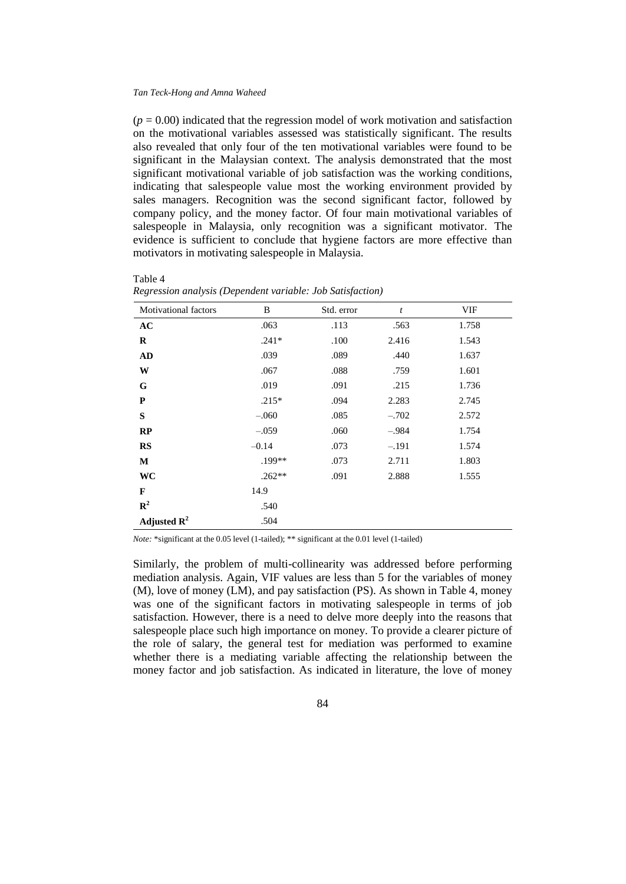$T = 1.1 - 4$ 

 $(p = 0.00)$  indicated that the regression model of work motivation and satisfaction on the motivational variables assessed was statistically significant. The results also revealed that only four of the ten motivational variables were found to be significant in the Malaysian context. The analysis demonstrated that the most significant motivational variable of job satisfaction was the working conditions, indicating that salespeople value most the working environment provided by sales managers. Recognition was the second significant factor, followed by company policy, and the money factor. Of four main motivational variables of salespeople in Malaysia, only recognition was a significant motivator. The evidence is sufficient to conclude that hygiene factors are more effective than motivators in motivating salespeople in Malaysia.

| Motivational factors    | B        | Std. error | $\boldsymbol{t}$ | VIF   |
|-------------------------|----------|------------|------------------|-------|
| AC                      | .063     | .113       | .563             | 1.758 |
| R                       | $.241*$  | .100       | 2.416            | 1.543 |
| AD                      | .039     | .089       | .440             | 1.637 |
| W                       | .067     | .088       | .759             | 1.601 |
| G                       | .019     | .091       | .215             | 1.736 |
| P                       | $.215*$  | .094       | 2.283            | 2.745 |
| S                       | $-.060$  | .085       | $-.702$          | 2.572 |
| RP                      | $-.059$  | .060       | $-.984$          | 1.754 |
| <b>RS</b>               | $-0.14$  | .073       | $-.191$          | 1.574 |
| M                       | .199**   | .073       | 2.711            | 1.803 |
| WC                      | $.262**$ | .091       | 2.888            | 1.555 |
| $\mathbf{F}$            | 14.9     |            |                  |       |
| $\mathbb{R}^2$          | .540     |            |                  |       |
| Adjusted $\mathbf{R}^2$ | .504     |            |                  |       |

| 1 avit 4 |                                                            |  |  |
|----------|------------------------------------------------------------|--|--|
|          | Regression analysis (Dependent variable: Job Satisfaction) |  |  |

*Note:* \*significant at the 0.05 level (1-tailed); \*\* significant at the 0.01 level (1-tailed)

Similarly, the problem of multi-collinearity was addressed before performing mediation analysis. Again, VIF values are less than 5 for the variables of money (M), love of money (LM), and pay satisfaction (PS). As shown in Table 4, money was one of the significant factors in motivating salespeople in terms of job satisfaction. However, there is a need to delve more deeply into the reasons that salespeople place such high importance on money. To provide a clearer picture of the role of salary, the general test for mediation was performed to examine whether there is a mediating variable affecting the relationship between the money factor and job satisfaction. As indicated in literature, the love of money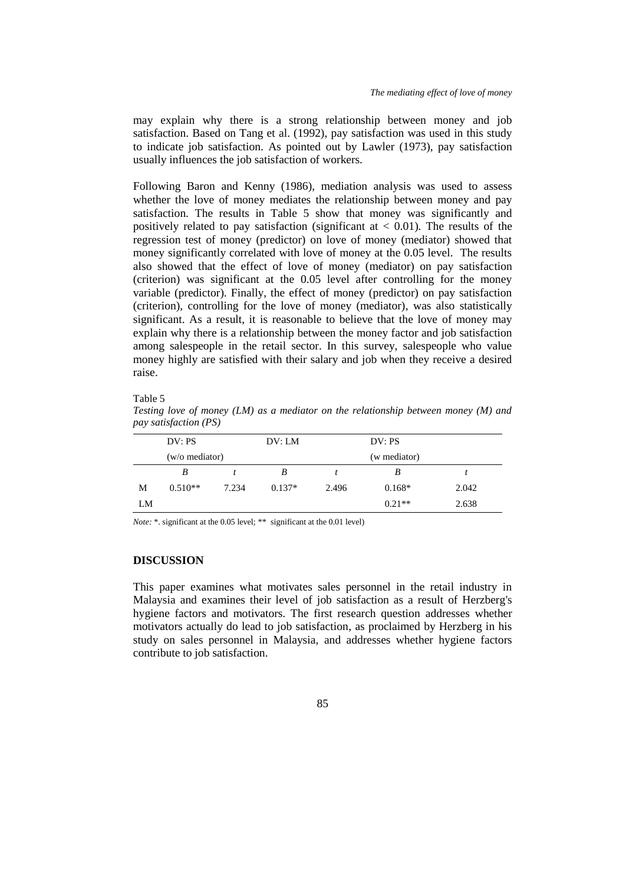may explain why there is a strong relationship between money and job satisfaction. Based on Tang et al. (1992), pay satisfaction was used in this study to indicate job satisfaction. As pointed out by Lawler (1973), pay satisfaction usually influences the job satisfaction of workers.

Following Baron and Kenny (1986), mediation analysis was used to assess whether the love of money mediates the relationship between money and pay satisfaction. The results in Table 5 show that money was significantly and positively related to pay satisfaction (significant at  $\lt$  0.01). The results of the regression test of money (predictor) on love of money (mediator) showed that money significantly correlated with love of money at the 0.05 level. The results also showed that the effect of love of money (mediator) on pay satisfaction (criterion) was significant at the 0.05 level after controlling for the money variable (predictor). Finally, the effect of money (predictor) on pay satisfaction (criterion), controlling for the love of money (mediator), was also statistically significant. As a result, it is reasonable to believe that the love of money may explain why there is a relationship between the money factor and job satisfaction among salespeople in the retail sector. In this survey, salespeople who value money highly are satisfied with their salary and job when they receive a desired raise.

#### Table 5

*Testing love of money (LM) as a mediator on the relationship between money (M) and pay satisfaction (PS)*

|    | DV: PS         |       | DV: LM   | DV: PS |              |       |
|----|----------------|-------|----------|--------|--------------|-------|
|    | (w/o mediator) |       |          |        | (w mediator) |       |
|    | B              |       | B        |        | B            |       |
| М  | $0.510**$      | 7.234 | $0.137*$ | 2.496  | $0.168*$     | 2.042 |
| LM |                |       |          |        | $0.21**$     | 2.638 |

*Note:* \*. significant at the 0.05 level; \*\* significant at the 0.01 level)

## **DISCUSSION**

This paper examines what motivates sales personnel in the retail industry in Malaysia and examines their level of job satisfaction as a result of Herzberg's hygiene factors and motivators. The first research question addresses whether motivators actually do lead to job satisfaction, as proclaimed by Herzberg in his study on sales personnel in Malaysia, and addresses whether hygiene factors contribute to job satisfaction.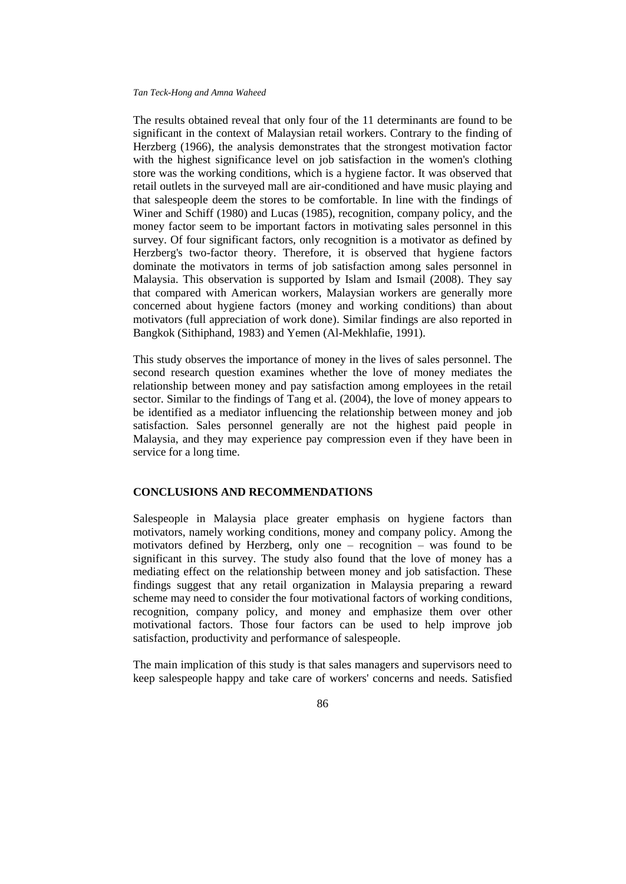The results obtained reveal that only four of the 11 determinants are found to be significant in the context of Malaysian retail workers. Contrary to the finding of Herzberg (1966), the analysis demonstrates that the strongest motivation factor with the highest significance level on job satisfaction in the women's clothing store was the working conditions, which is a hygiene factor. It was observed that retail outlets in the surveyed mall are air-conditioned and have music playing and that salespeople deem the stores to be comfortable. In line with the findings of Winer and Schiff (1980) and Lucas (1985), recognition, company policy, and the money factor seem to be important factors in motivating sales personnel in this survey. Of four significant factors, only recognition is a motivator as defined by Herzberg's two-factor theory. Therefore, it is observed that hygiene factors dominate the motivators in terms of job satisfaction among sales personnel in Malaysia. This observation is supported by Islam and Ismail (2008). They say that compared with American workers, Malaysian workers are generally more concerned about hygiene factors (money and working conditions) than about motivators (full appreciation of work done). Similar findings are also reported in Bangkok (Sithiphand, 1983) and Yemen (Al-Mekhlafie, 1991).

This study observes the importance of money in the lives of sales personnel. The second research question examines whether the love of money mediates the relationship between money and pay satisfaction among employees in the retail sector. Similar to the findings of Tang et al. (2004), the love of money appears to be identified as a mediator influencing the relationship between money and job satisfaction. Sales personnel generally are not the highest paid people in Malaysia, and they may experience pay compression even if they have been in service for a long time.

## **CONCLUSIONS AND RECOMMENDATIONS**

Salespeople in Malaysia place greater emphasis on hygiene factors than motivators, namely working conditions, money and company policy. Among the motivators defined by Herzberg, only one – recognition – was found to be significant in this survey. The study also found that the love of money has a mediating effect on the relationship between money and job satisfaction. These findings suggest that any retail organization in Malaysia preparing a reward scheme may need to consider the four motivational factors of working conditions, recognition, company policy, and money and emphasize them over other motivational factors. Those four factors can be used to help improve job satisfaction, productivity and performance of salespeople.

The main implication of this study is that sales managers and supervisors need to keep salespeople happy and take care of workers' concerns and needs. Satisfied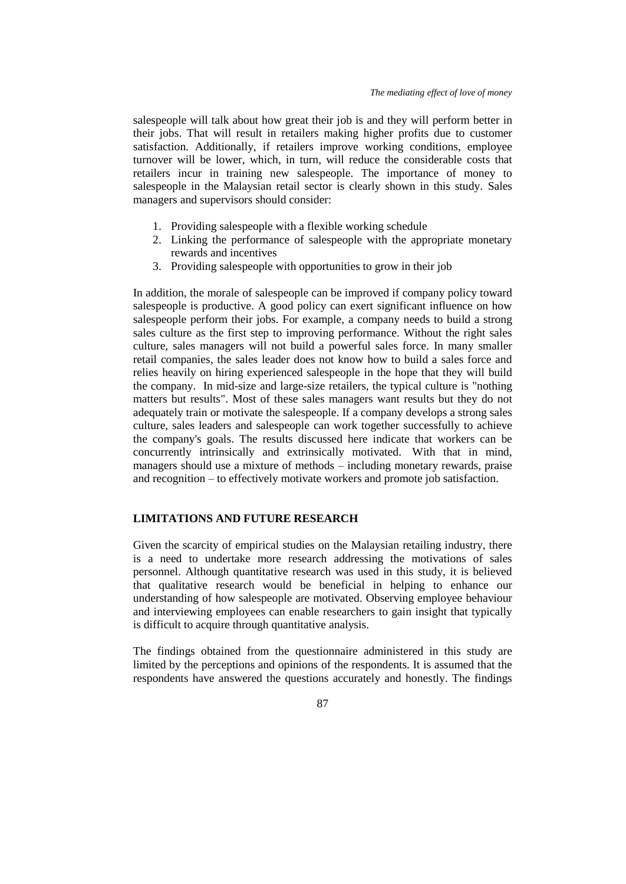salespeople will talk about how great their job is and they will perform better in their jobs. That will result in retailers making higher profits due to customer satisfaction. Additionally, if retailers improve working conditions, employee turnover will be lower, which, in turn, will reduce the considerable costs that retailers incur in training new salespeople. The importance of money to salespeople in the Malaysian retail sector is clearly shown in this study. Sales managers and supervisors should consider:

- 1. Providing salespeople with a flexible working schedule
- 2. Linking the performance of salespeople with the appropriate monetary rewards and incentives
- 3. Providing salespeople with opportunities to grow in their job

In addition, the morale of salespeople can be improved if company policy toward salespeople is productive. A good policy can exert significant influence on how salespeople perform their jobs. For example, a company needs to build a strong sales culture as the first step to improving performance. Without the right sales culture, sales managers will not build a powerful sales force. In many smaller retail companies, the sales leader does not know how to build a sales force and relies heavily on hiring experienced salespeople in the hope that they will build the company. In mid-size and large-size retailers, the typical culture is "nothing matters but results". Most of these sales managers want results but they do not adequately train or motivate the salespeople. If a company develops a strong sales culture, sales leaders and salespeople can work together successfully to achieve the company's goals. The results discussed here indicate that workers can be concurrently intrinsically and extrinsically motivated. With that in mind, managers should use a mixture of methods – including monetary rewards, praise and recognition – to effectively motivate workers and promote job satisfaction.

### **LIMITATIONS AND FUTURE RESEARCH**

Given the scarcity of empirical studies on the Malaysian retailing industry, there is a need to undertake more research addressing the motivations of sales personnel. Although quantitative research was used in this study, it is believed that qualitative research would be beneficial in helping to enhance our understanding of how salespeople are motivated. Observing employee behaviour and interviewing employees can enable researchers to gain insight that typically is difficult to acquire through quantitative analysis.

The findings obtained from the questionnaire administered in this study are limited by the perceptions and opinions of the respondents. It is assumed that the respondents have answered the questions accurately and honestly. The findings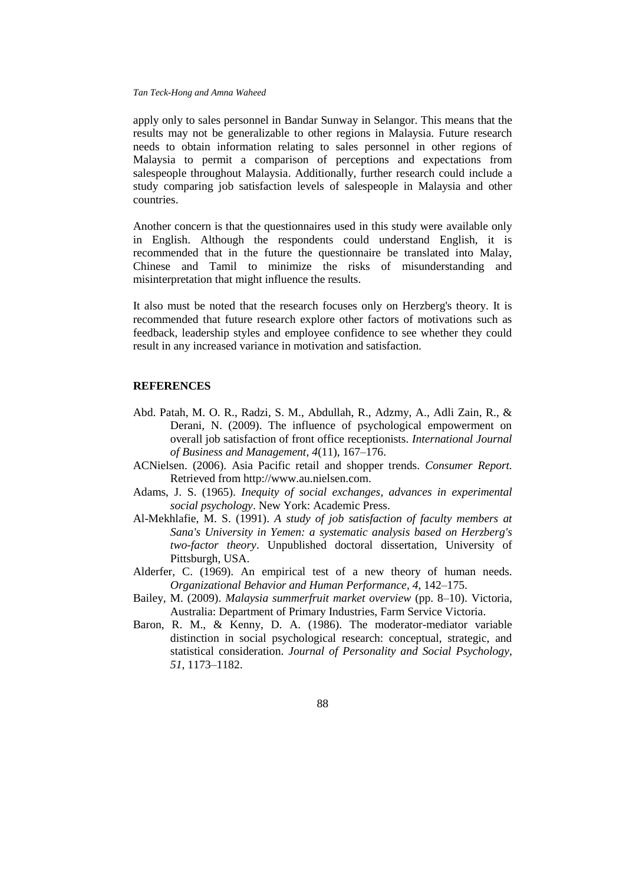apply only to sales personnel in Bandar Sunway in Selangor. This means that the results may not be generalizable to other regions in Malaysia. Future research needs to obtain information relating to sales personnel in other regions of Malaysia to permit a comparison of perceptions and expectations from salespeople throughout Malaysia. Additionally, further research could include a study comparing job satisfaction levels of salespeople in Malaysia and other countries.

Another concern is that the questionnaires used in this study were available only in English. Although the respondents could understand English, it is recommended that in the future the questionnaire be translated into Malay, Chinese and Tamil to minimize the risks of misunderstanding and misinterpretation that might influence the results.

It also must be noted that the research focuses only on Herzberg's theory. It is recommended that future research explore other factors of motivations such as feedback, leadership styles and employee confidence to see whether they could result in any increased variance in motivation and satisfaction.

### **REFERENCES**

- Abd. Patah, M. O. R., Radzi, S. M., Abdullah, R., Adzmy, A., Adli Zain, R., & Derani, N. (2009). The influence of psychological empowerment on overall job satisfaction of front office receptionists. *International Journal of Business and Management*, *4*(11), 167–176.
- ACNielsen. (2006). Asia Pacific retail and shopper trends. *Consumer Report.* Retrieved from [http://www.au.nielsen.com.](http://www.au.nielsen.com/)
- Adams, J. S. (1965). *Inequity of social exchanges, advances in experimental social psychology*. New York: Academic Press.
- Al-Mekhlafie, M. S. (1991). *A study of job satisfaction of faculty members at Sana's University in Yemen: a systematic analysis based on Herzberg's two-factor theory*. Unpublished doctoral dissertation, University of Pittsburgh, USA.
- Alderfer, C. (1969). An empirical test of a new theory of human needs. *Organizational Behavior and Human Performance*, *4*, 142–175.
- Bailey, M. (2009). *Malaysia summerfruit market overview* (pp. 8–10). Victoria, Australia: Department of Primary Industries, Farm Service Victoria.
- Baron, R. M., & Kenny, D. A. (1986). The moderator-mediator variable distinction in social psychological research: conceptual, strategic, and statistical consideration. *Journal of Personality and Social Psychology*, *51*, 1173–1182.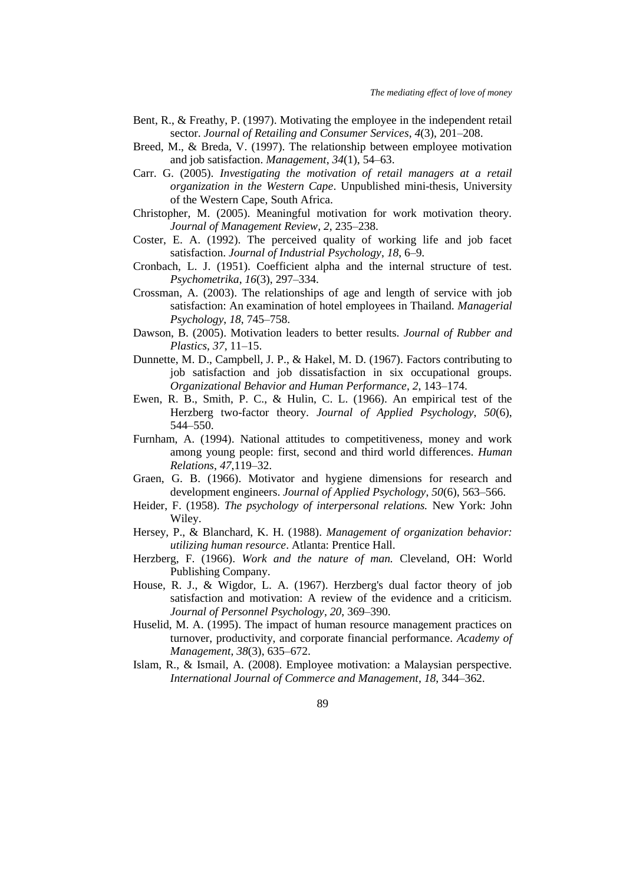- Bent, R., & Freathy, P. (1997). Motivating the employee in the independent retail sector. *Journal of Retailing and Consumer Services*, *4*(3), 201–208.
- Breed, M., & Breda, V. (1997). The relationship between employee motivation and job satisfaction. *Management*, *34*(1), 54–63.
- Carr. G. (2005). *Investigating the motivation of retail managers at a retail organization in the Western Cape*. Unpublished mini-thesis, University of the Western Cape, South Africa.
- Christopher, M. (2005). Meaningful motivation for work motivation theory. *Journal of Management Review*, *2*, 235–238.
- Coster, E. A. (1992). The perceived quality of working life and job facet satisfaction. *Journal of Industrial Psychology*, *18*, 6–9.
- Cronbach, L. J. (1951). Coefficient alpha and the internal structure of test. *Psychometrika*, *16*(3), 297–334.
- Crossman, A. (2003). The relationships of age and length of service with job satisfaction: An examination of hotel employees in Thailand. *Managerial Psychology*, *18*, 745–758.
- Dawson, B. (2005). Motivation leaders to better results. *Journal of Rubber and Plastics*, *37*, 11–15.
- Dunnette, M. D., Campbell, J. P., & Hakel, M. D. (1967). Factors contributing to job satisfaction and job dissatisfaction in six occupational groups. *Organizational Behavior and Human Performance*, *2*, 143–174.
- Ewen, R. B., Smith, P. C., & Hulin, C. L. (1966). An empirical test of the Herzberg two-factor theory. *Journal of Applied Psychology*, *50*(6), 544–550.
- Furnham, A. (1994). National attitudes to competitiveness, money and work among young people: first, second and third world differences. *Human Relations*, *47*,119–32.
- Graen, G. B. (1966). Motivator and hygiene dimensions for research and development engineers. *Journal of Applied Psychology*, *50*(6), 563–566.
- Heider, F. (1958). *The psychology of interpersonal relations.* New York: John Wiley.
- Hersey, P., & Blanchard, K. H. (1988). *Management of organization behavior: utilizing human resource*. Atlanta: Prentice Hall.
- Herzberg, F. (1966). *Work and the nature of man.* Cleveland, OH: World Publishing Company.
- House, R. J., & Wigdor, L. A. (1967). Herzberg's dual factor theory of job satisfaction and motivation: A review of the evidence and a criticism. *Journal of Personnel Psychology*, *20*, 369–390.
- Huselid, M. A. (1995). The impact of human resource management practices on turnover, productivity, and corporate financial performance. *Academy of Management*, *38*(3), 635–672.
- Islam, R., & Ismail, A. (2008). Employee motivation: a Malaysian perspective. *International Journal of Commerce and Management*, *18*, 344–362.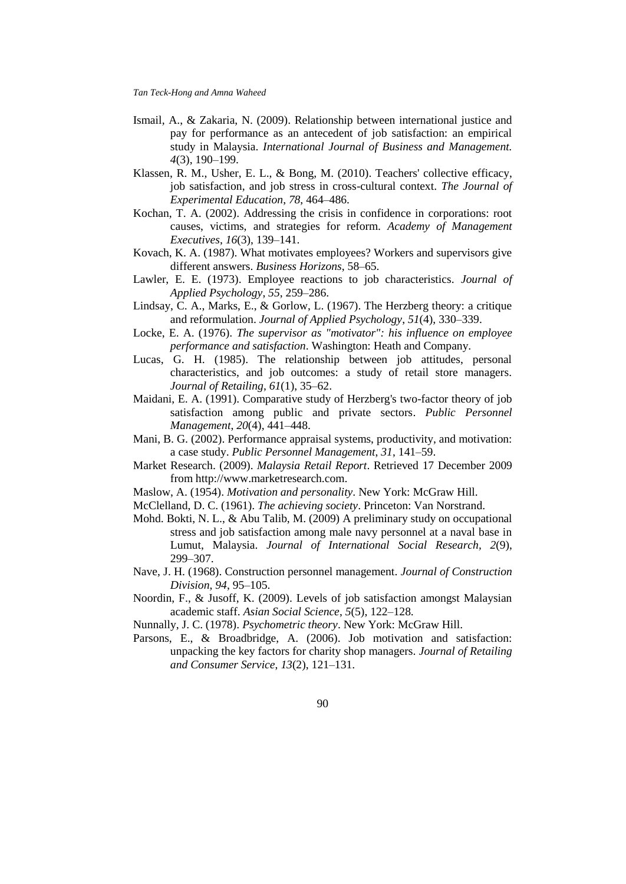- Ismail, A., & Zakaria, N. (2009). Relationship between international justice and pay for performance as an antecedent of job satisfaction: an empirical study in Malaysia. *International Journal of Business and Management. 4*(3), 190–199.
- Klassen, R. M., Usher, E. L., & Bong, M. (2010). Teachers' collective efficacy, job satisfaction, and job stress in cross-cultural context. *The Journal of Experimental Education*, *78*, 464–486.
- Kochan, T. A. (2002). Addressing the crisis in confidence in corporations: root causes, victims, and strategies for reform. *Academy of Management Executives*, *16*(3), 139–141.
- Kovach, K. A. (1987). What motivates employees? Workers and supervisors give different answers. *Business Horizons*, 58–65.
- Lawler, E. E. (1973). Employee reactions to job characteristics. *Journal of Applied Psychology*, *55*, 259–286.
- Lindsay, C. A., Marks, E., & Gorlow, L. (1967). The Herzberg theory: a critique and reformulation. *Journal of Applied Psychology*, *51*(4), 330–339.
- Locke, E. A. (1976). *The supervisor as "motivator": his influence on employee performance and satisfaction*. Washington: Heath and Company.
- Lucas, G. H. (1985). The relationship between job attitudes, personal characteristics, and job outcomes: a study of retail store managers. *Journal of Retailing*, *61*(1), 35–62.
- Maidani, E. A. (1991). Comparative study of Herzberg's two-factor theory of job satisfaction among public and private sectors. *Public Personnel Management*, *20*(4), 441–448.
- Mani, B. G. (2002). Performance appraisal systems, productivity, and motivation: a case study. *Public Personnel Management*, *31*, 141–59.
- Market Research. (2009). *Malaysia Retail Report*. Retrieved 17 December 2009 from [http://www.marketresearch.com.](http://www.marketresearch.com/)
- Maslow, A. (1954). *Motivation and personality*. New York: McGraw Hill.
- McClelland, D. C. (1961). *The achieving society*. Princeton: Van Norstrand.
- Mohd. Bokti, N. L., & Abu Talib, M. (2009) A preliminary study on occupational stress and job satisfaction among male navy personnel at a naval base in Lumut, Malaysia. *Journal of International Social Research, 2*(9), 299–307.
- Nave, J. H. (1968). Construction personnel management. *Journal of Construction Division*, *94*, 95–105.
- Noordin, F., & Jusoff, K. (2009). Levels of job satisfaction amongst Malaysian academic staff. *Asian Social Science*, *5*(5), 122–128.
- Nunnally, J. C. (1978). *Psychometric theory*. New York: McGraw Hill.
- Parsons, E., & Broadbridge, A. (2006). Job motivation and satisfaction: unpacking the key factors for charity shop managers. *Journal of Retailing and Consumer Service*, *13*(2), 121–131.
	- 90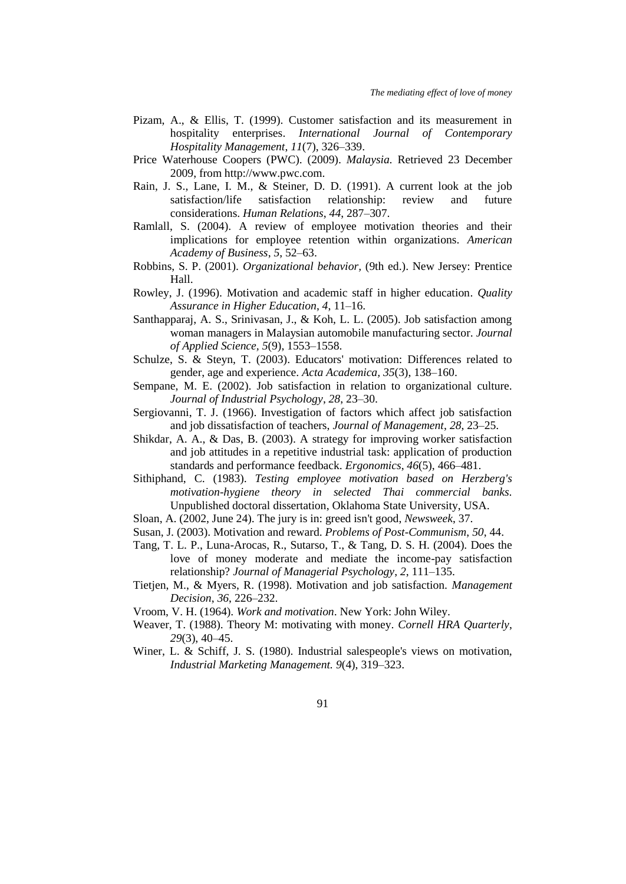- Pizam, A., & Ellis, T. (1999). Customer satisfaction and its measurement in hospitality enterprises. *International Journal of Contemporary Hospitality Management*, *11*(7), 326–339.
- Price Waterhouse Coopers (PWC). (2009). *Malaysia*. Retrieved 23 December 2009, from [http://www.pwc.com.](http://www.pwc.com/)
- Rain, J. S., Lane, I. M., & Steiner, D. D. (1991). A current look at the job satisfaction/life satisfaction relationship: review and future considerations. *Human Relations*, *44*, 287–307.
- Ramlall, S. (2004). A review of employee motivation theories and their implications for employee retention within organizations. *American Academy of Business*, *5*, 52–63.
- Robbins, S. P. (2001). *Organizational behavior,* (9th ed.). New Jersey: Prentice Hall.
- Rowley, J. (1996). Motivation and academic staff in higher education. *Quality Assurance in Higher Education*, *4*, 11–16.
- Santhapparaj, A. S., Srinivasan, J., & Koh, L. L. (2005). Job satisfaction among woman managers in Malaysian automobile manufacturing sector. *Journal of Applied Science, 5*(9), 1553–1558.
- Schulze, S. & Steyn, T. (2003). Educators' motivation: Differences related to gender, age and experience. *Acta Academica, 35*(3), 138–160.
- Sempane, M. E. (2002). Job satisfaction in relation to organizational culture. *Journal of Industrial Psychology*, *28*, 23–30.
- Sergiovanni, T. J. (1966). Investigation of factors which affect job satisfaction and job dissatisfaction of teachers, *Journal of Management*, *28*, 23–25.
- Shikdar, A. A., & Das, B. (2003). A strategy for improving worker satisfaction and job attitudes in a repetitive industrial task: application of production standards and performance feedback. *Ergonomics*, *46*(5), 466–481.
- Sithiphand, C. (1983). *Testing employee motivation based on Herzberg's motivation-hygiene theory in selected Thai commercial banks.* Unpublished doctoral dissertation, Oklahoma State University, USA.
- Sloan, A. (2002, June 24). The jury is in: greed isn't good, *Newsweek*, 37.
- Susan, J. (2003). Motivation and reward. *Problems of Post-Communism*, *50*, 44.
- Tang, T. L. P., Luna-Arocas, R., Sutarso, T., & Tang, D. S. H. (2004). Does the love of money moderate and mediate the income-pay satisfaction relationship? *Journal of Managerial Psychology*, *2*, 111–135.
- Tietjen, M., & Myers, R. (1998). Motivation and job satisfaction. *Management Decision*, *36*, 226–232.
- Vroom, V. H. (1964). *Work and motivation*. New York: John Wiley.
- Weaver, T. (1988). Theory M: motivating with money. *Cornell HRA Quarterly*, *29*(3), 40–45.
- Winer, L. & Schiff, J. S. (1980). Industrial salespeople's views on motivation, *Industrial Marketing Management. 9*(4), 319–323.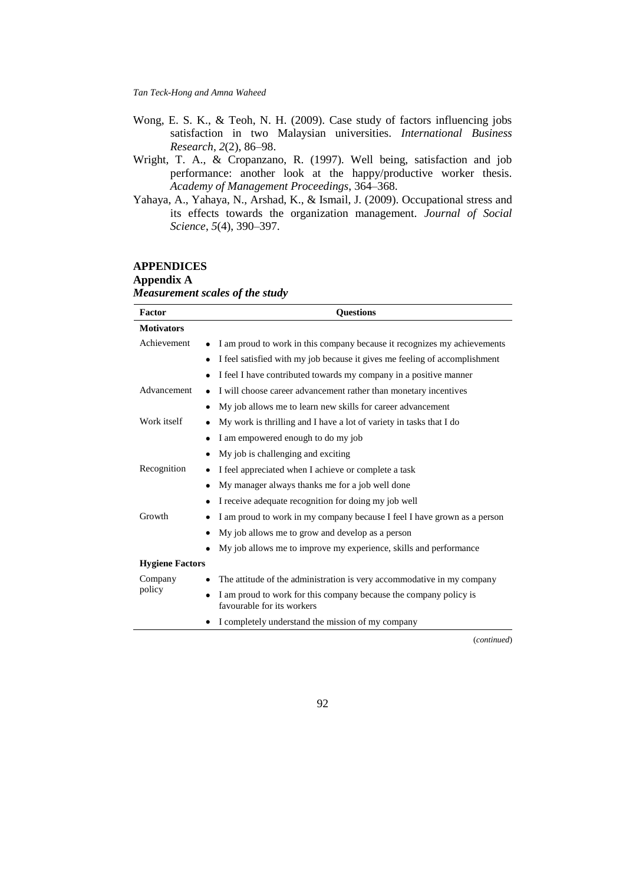- Wong, E. S. K., & Teoh, N. H. (2009). Case study of factors influencing jobs satisfaction in two Malaysian universities. *International Business Research*, *2*(2), 86–98.
- Wright, T. A., & Cropanzano, R. (1997). Well being, satisfaction and job performance: another look at the happy/productive worker thesis. *Academy of Management Proceedings*, 364–368.
- Yahaya, A., Yahaya, N., Arshad, K., & Ismail, J. (2009). Occupational stress and its effects towards the organization management. *Journal of Social Science*, *5*(4), 390–397.

## **APPENDICES Appendix A** *Measurement scales of the study*

| Factor                 | <b>Questions</b>                                                                                             |
|------------------------|--------------------------------------------------------------------------------------------------------------|
| <b>Motivators</b>      |                                                                                                              |
| Achievement            | I am proud to work in this company because it recognizes my achievements                                     |
|                        | I feel satisfied with my job because it gives me feeling of accomplishment<br>٠                              |
|                        | I feel I have contributed towards my company in a positive manner                                            |
| Advancement            | I will choose career advancement rather than monetary incentives<br>٠                                        |
|                        | My job allows me to learn new skills for career advancement<br>٠                                             |
| Work itself            | My work is thrilling and I have a lot of variety in tasks that I do<br>٠                                     |
|                        | I am empowered enough to do my job<br>٠                                                                      |
|                        | My job is challenging and exciting<br>٠                                                                      |
| Recognition            | I feel appreciated when I achieve or complete a task                                                         |
|                        | My manager always thanks me for a job well done                                                              |
|                        | I receive adequate recognition for doing my job well<br>٠                                                    |
| Growth                 | I am proud to work in my company because I feel I have grown as a person<br>٠                                |
|                        | My job allows me to grow and develop as a person<br>٠                                                        |
|                        | My job allows me to improve my experience, skills and performance<br>٠                                       |
| <b>Hygiene Factors</b> |                                                                                                              |
| Company                | The attitude of the administration is very accommodative in my company                                       |
| policy                 | I am proud to work for this company because the company policy is<br>$\bullet$<br>favourable for its workers |
|                        | I completely understand the mission of my company                                                            |

(*continued*)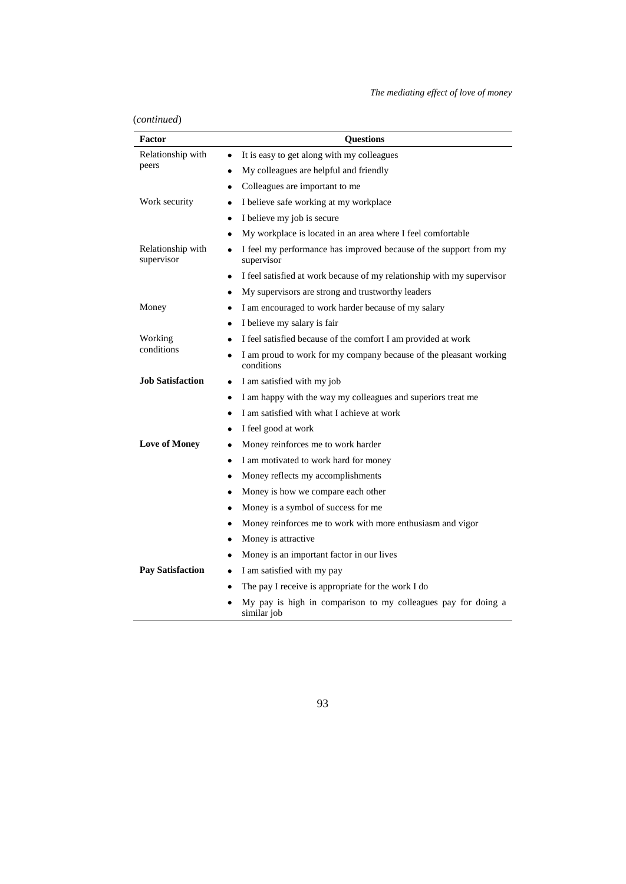*The mediating effect of love of money*

| (continued) |
|-------------|
|             |

| Factor                          | <b>Questions</b>                                                                |
|---------------------------------|---------------------------------------------------------------------------------|
| Relationship with               | It is easy to get along with my colleagues                                      |
| peers                           | My colleagues are helpful and friendly                                          |
|                                 | Colleagues are important to me<br>٠                                             |
| Work security                   | I believe safe working at my workplace                                          |
|                                 | I believe my job is secure<br>٠                                                 |
|                                 | My workplace is located in an area where I feel comfortable<br>٠                |
| Relationship with<br>supervisor | I feel my performance has improved because of the support from my<br>supervisor |
|                                 | I feel satisfied at work because of my relationship with my supervisor<br>٠     |
|                                 | My supervisors are strong and trustworthy leaders<br>٠                          |
| Money                           | I am encouraged to work harder because of my salary                             |
|                                 | I believe my salary is fair<br>٠                                                |
| Working                         | I feel satisfied because of the comfort I am provided at work                   |
| conditions                      | I am proud to work for my company because of the pleasant working<br>conditions |
| <b>Job Satisfaction</b>         | I am satisfied with my job<br>٠                                                 |
|                                 | I am happy with the way my colleagues and superiors treat me<br>٠               |
|                                 | I am satisfied with what I achieve at work                                      |
|                                 | I feel good at work<br>٠                                                        |
| <b>Love of Money</b>            | Money reinforces me to work harder<br>٠                                         |
|                                 | I am motivated to work hard for money                                           |
|                                 | Money reflects my accomplishments                                               |
|                                 | Money is how we compare each other<br>$\bullet$                                 |
|                                 | Money is a symbol of success for me<br>٠                                        |
|                                 | Money reinforces me to work with more enthusiasm and vigor<br>٠                 |
|                                 | Money is attractive                                                             |
|                                 | Money is an important factor in our lives                                       |
| <b>Pay Satisfaction</b>         | I am satisfied with my pay<br>٠                                                 |
|                                 | The pay I receive is appropriate for the work I do                              |
|                                 | My pay is high in comparison to my colleagues pay for doing a<br>similar job    |